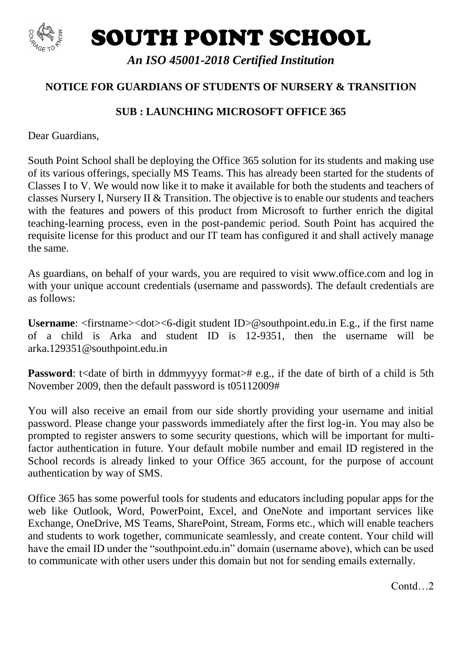

SOUTH POINT SCHOOL

*An ISO 45001-2018 Certified Institution*

## **NOTICE FOR GUARDIANS OF STUDENTS OF NURSERY & TRANSITION**

## **SUB : LAUNCHING MICROSOFT OFFICE 365**

Dear Guardians,

South Point School shall be deploying the Office 365 solution for its students and making use of its various offerings, specially MS Teams. This has already been started for the students of Classes I to V. We would now like it to make it available for both the students and teachers of classes Nursery I, Nursery II & Transition. The objective is to enable our students and teachers with the features and powers of this product from Microsoft to further enrich the digital teaching-learning process, even in the post-pandemic period. South Point has acquired the requisite license for this product and our IT team has configured it and shall actively manage the same.

As guardians, on behalf of your wards, you are required to visit www.office.com and log in with your unique account credentials (username and passwords). The default credentials are as follows:

Username: <firstname><dot><6-digit student ID>@southpoint.edu.in E.g., if the first name of a child is Arka and student ID is 12-9351, then the username will be arka.129351@southpoint.edu.in

**Password:** t<date of birth in ddmmyyyy format># e.g., if the date of birth of a child is 5th November 2009, then the default password is t05112009#

You will also receive an email from our side shortly providing your username and initial password. Please change your passwords immediately after the first log-in. You may also be prompted to register answers to some security questions, which will be important for multifactor authentication in future. Your default mobile number and email ID registered in the School records is already linked to your Office 365 account, for the purpose of account authentication by way of SMS.

Office 365 has some powerful tools for students and educators including popular apps for the web like Outlook, Word, PowerPoint, Excel, and OneNote and important services like Exchange, OneDrive, MS Teams, SharePoint, Stream, Forms etc., which will enable teachers and students to work together, communicate seamlessly, and create content. Your child will have the email ID under the "southpoint.edu.in" domain (username above), which can be used to communicate with other users under this domain but not for sending emails externally.

Contd<sup>2</sup>